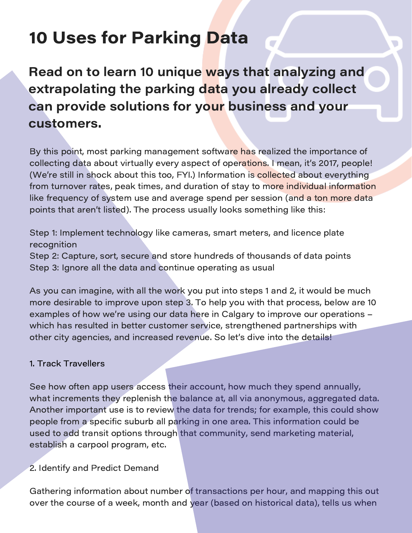Read on to learn 10 unique ways that analyzing and extrapolating the parking data you already collect can provide solutions for your business and your customers.

By this point, most parking management software has realized the importance of collecting data about virtually every aspect of operations. I mean, it's 2017, people! (We're still in shock about this too, FYI.) Information is collected about everything from turnover rates, peak times, and duration of stay to more individual information like frequency of system use and average spend per session (and a ton more data points that aren't listed). The process usually looks something like this:

Step 1: Implement technology like cameras, smart meters, and licence plate recognition

Step 2: Capture, sort, secure and store hundreds of thousands of data points Step 3: Ignore all the data and continue operating as usual

As you can imagine, with all the work you put into steps 1 and 2, it would be much more desirable to improve upon step 3. To help you with that process, below are 10 examples of how we're using our data here in Calgary to improve our operations – which has resulted in better customer service, strengthened partnerships with other city agencies, and increased revenue. So let's dive into the details!

## 1. Track Travellers

See how often app users access their account, how much they spend annually, what increments they replenish the balance at, all via anonymous, aggregated data. Another important use is to review the data for trends; for example, this could show people from a specific suburb all parking in one area. This information could be used to add transit options through that community, send marketing material, establish a carpool program, etc.

2. Identify and Predict Demand

Gathering information about number of transactions per hour, and mapping this out over the course of a week, month and year (based on historical data), tells us when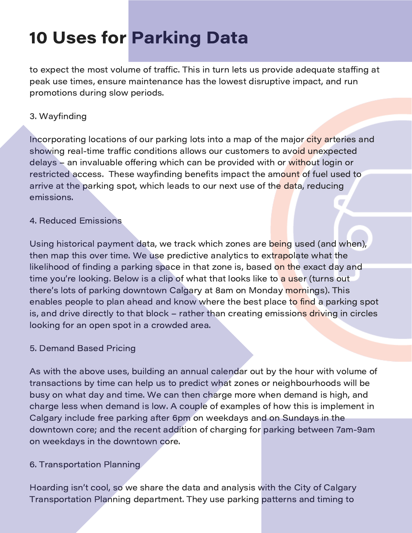to expect the most volume of traffic. This in turn lets us provide adequate staffing at peak use times, ensure maintenance has the lowest disruptive impact, and run promotions during slow periods.

## 3. Wayfinding

Incorporating locations of our parking lots into a map of the major city arteries and showing real-time traffic conditions allows our customers to avo<mark>id un</mark>expected delays – an invaluable offering which can be provided with or without login or restricted access. These wayfinding benefits impact the amount of fuel used to arrive at the parking spot, which leads to our next use of the data, reducing emissions.

## 4. Reduced Emissions

Using historical payment data, we track which zones are being used (and when), then map this over time. We use predictive analytics to extrapolate what the likelihood of finding a parking space in that zone is, based on the exact day and time you're looking. Below is a clip of what that looks like to a user (turns out there's lots of parking downtown Calgary at 8am on Monday mornings). This enables people to plan ahead and know where the best place to find a parking spot is, and drive directly to that block – rather than creating emissions driving in circles looking for an open spot in a crowded area.

#### 5. Demand Based Pricing

As with the above uses, building an annual calendar out by the hour with volume of transactions by time can help us to predict what zones or neighbourhoods will be busy on what day and time. We can then charge more when demand is high, and charge less when demand is low. A couple of examples of how this is implement in Calgary include free parking after 6pm on weekdays and on Sundays in the downtown core; and the recent addition of charging for parking between 7am-9am on weekdays in the downtown core.

## 6. Transportation Planning

Hoarding isn't cool, so we share the data and analysis with the City of Calgary Transportation Planning department. They use parking patterns and timing to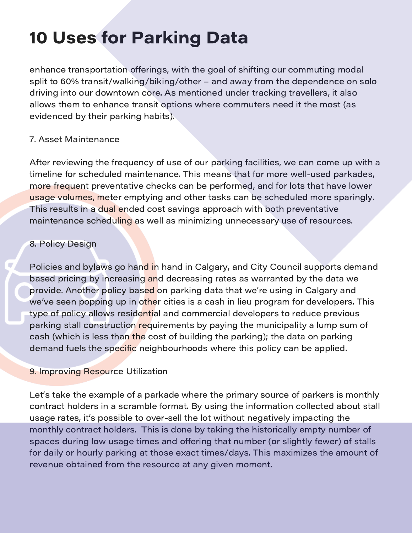enhance transportation offerings, with the goal of shifting our commuting modal split to 60% transit/walking/biking/other – and away from the dependence on solo driving into our downtown core. As mentioned under tracking travellers, it also allows them to enhance transit options where commuters need it the most (as evidenced by their parking habits).

### 7. Asset Maintenance

After reviewing the frequency of use of our parking facilities, we can come up with a timeline for scheduled maintenance. This means that for more well-used parkades, more frequent preventative checks can be performed, and for lots that have lower usage volumes, meter emptying and other tasks can be scheduled more sparingly. This results in a dual ended cost savings approach with both preventative maintenance scheduling as well as minimizing unnecessary use of resources.

### 8. Policy Design

Policies and bylaws go hand in hand in Calgary, and City Council supports demand based pricing by increasing and decreasing rates as warranted by the data we provide. Another policy based on parking data that we're using in Calgary and we've seen popping up in other cities is a cash in lieu program for developers. This type of policy allows residential and commercial developers to reduce previous parking stall construction requirements by paying the municipality a lump sum of cash (which is less than the cost of building the parking); the data on parking demand fuels the specific neighbourhoods where this policy can be applied.

#### **9. Improving Resource Utilization**

Let's take the example of a parkade where the primary source of parkers is monthly contract holders in a scramble format. By using the information collected about stall usage rates, it's possible to over-sell the lot without negatively impacting the monthly contract holders. This is done by taking the historically empty number of spaces during low usage times and offering that number (or slightly fewer) of stalls for daily or hourly parking at those exact times/days. This maximizes the amount of revenue obtained from the resource at any given moment.